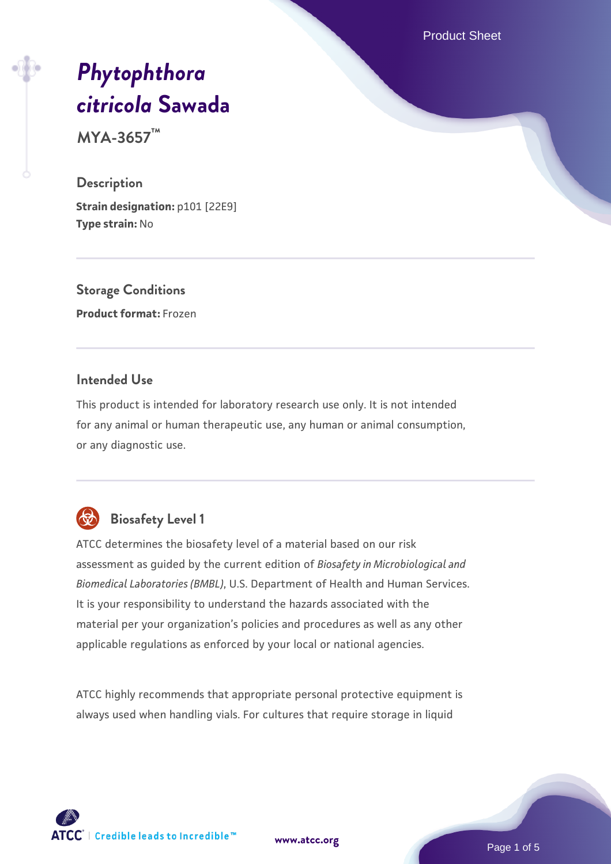Product Sheet

# *[Phytophthora](https://www.atcc.org/products/mya-3657) [citricola](https://www.atcc.org/products/mya-3657)* **[Sawada](https://www.atcc.org/products/mya-3657)**

**MYA-3657™**

#### **Description**

**Strain designation: p101 [22E9] Type strain:** No

**Storage Conditions Product format:** Frozen

## **Intended Use**

This product is intended for laboratory research use only. It is not intended for any animal or human therapeutic use, any human or animal consumption, or any diagnostic use.

# **Biosafety Level 1**

ATCC determines the biosafety level of a material based on our risk assessment as guided by the current edition of *Biosafety in Microbiological and Biomedical Laboratories (BMBL)*, U.S. Department of Health and Human Services. It is your responsibility to understand the hazards associated with the material per your organization's policies and procedures as well as any other applicable regulations as enforced by your local or national agencies.

ATCC highly recommends that appropriate personal protective equipment is always used when handling vials. For cultures that require storage in liquid

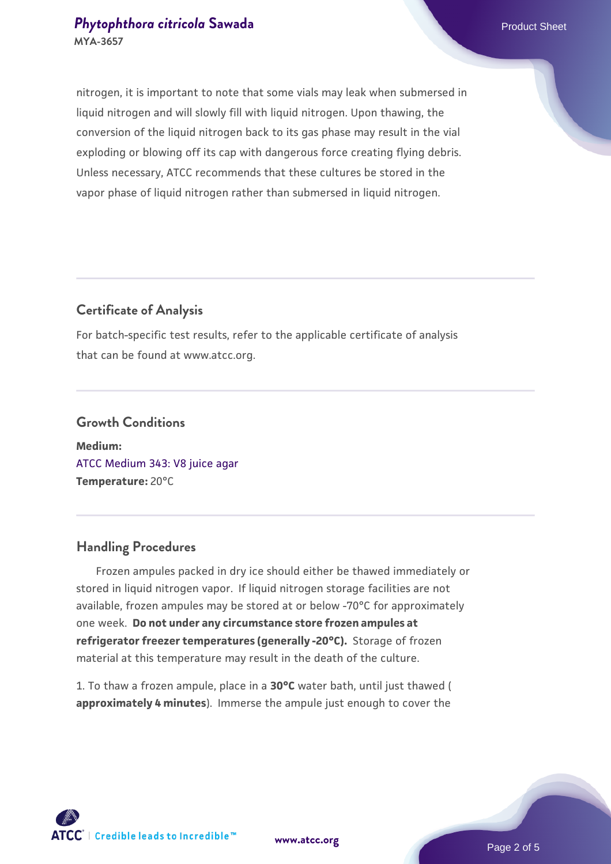### **[Phytophthora citricola](https://www.atcc.org/products/mya-3657) [Sawada](https://www.atcc.org/products/mya-3657)** Product Sheet **MYA-3657**

nitrogen, it is important to note that some vials may leak when submersed in liquid nitrogen and will slowly fill with liquid nitrogen. Upon thawing, the conversion of the liquid nitrogen back to its gas phase may result in the vial exploding or blowing off its cap with dangerous force creating flying debris. Unless necessary, ATCC recommends that these cultures be stored in the vapor phase of liquid nitrogen rather than submersed in liquid nitrogen.

# **Certificate of Analysis**

For batch-specific test results, refer to the applicable certificate of analysis that can be found at www.atcc.org.

# **Growth Conditions Medium:**  [ATCC Medium 343: V8 juice agar](https://www.atcc.org/-/media/product-assets/documents/microbial-media-formulations/3/4/3/atcc-medium-0343.pdf?rev=fbf48fa24e664932828269db1822ab12)

# **Handling Procedures**

**Temperature:** 20°C

 Frozen ampules packed in dry ice should either be thawed immediately or stored in liquid nitrogen vapor. If liquid nitrogen storage facilities are not available, frozen ampules may be stored at or below -70°C for approximately one week. **Do not under any circumstance store frozen ampules at refrigerator freezer temperatures (generally -20°C).** Storage of frozen material at this temperature may result in the death of the culture.

1. To thaw a frozen ampule, place in a **30°C** water bath, until just thawed ( **approximately 4 minutes**). Immerse the ampule just enough to cover the

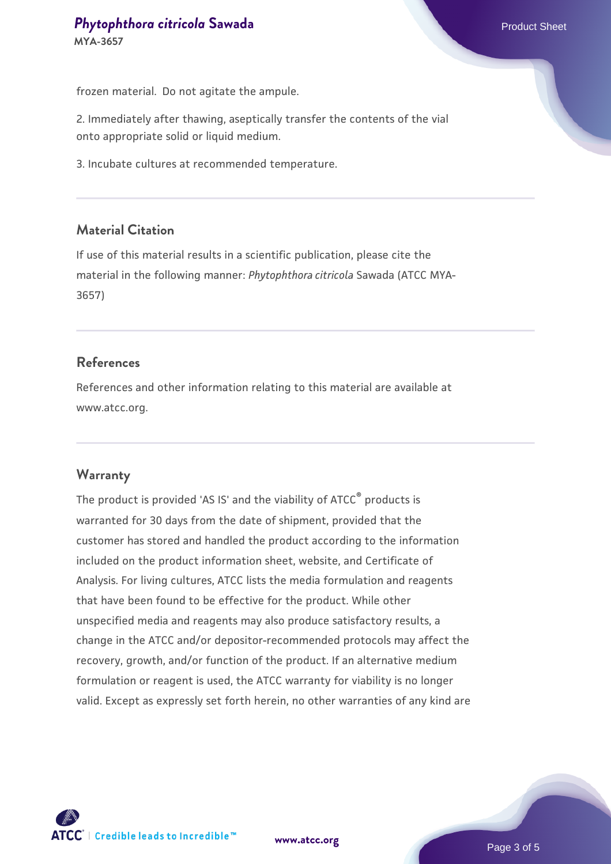frozen material. Do not agitate the ampule.

2. Immediately after thawing, aseptically transfer the contents of the vial onto appropriate solid or liquid medium.

3. Incubate cultures at recommended temperature.

#### **Material Citation**

If use of this material results in a scientific publication, please cite the material in the following manner: *Phytophthora citricola* Sawada (ATCC MYA-3657)

#### **References**

References and other information relating to this material are available at www.atcc.org.

#### **Warranty**

The product is provided 'AS IS' and the viability of ATCC® products is warranted for 30 days from the date of shipment, provided that the customer has stored and handled the product according to the information included on the product information sheet, website, and Certificate of Analysis. For living cultures, ATCC lists the media formulation and reagents that have been found to be effective for the product. While other unspecified media and reagents may also produce satisfactory results, a change in the ATCC and/or depositor-recommended protocols may affect the recovery, growth, and/or function of the product. If an alternative medium formulation or reagent is used, the ATCC warranty for viability is no longer valid. Except as expressly set forth herein, no other warranties of any kind are



**[www.atcc.org](http://www.atcc.org)**

Page 3 of 5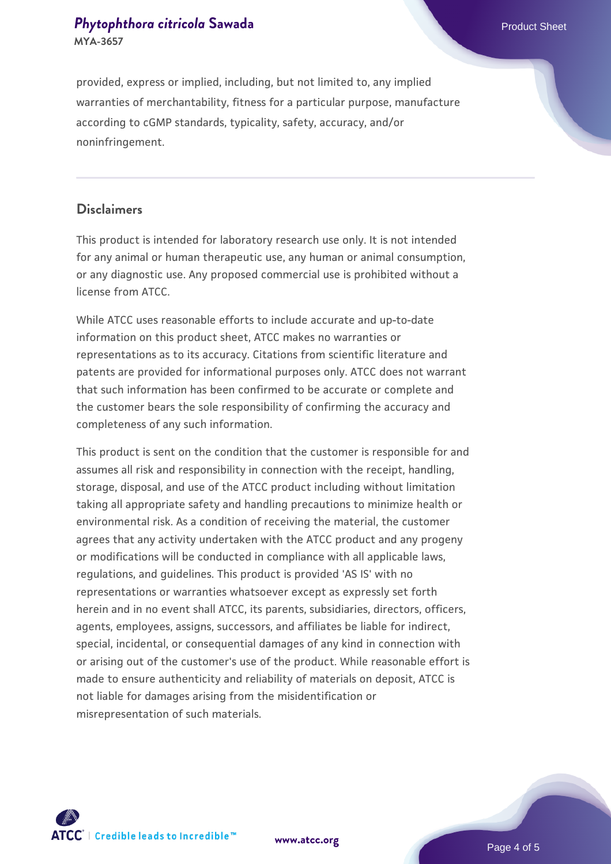## **[Phytophthora citricola](https://www.atcc.org/products/mya-3657) [Sawada](https://www.atcc.org/products/mya-3657)** Product Sheet **MYA-3657**

provided, express or implied, including, but not limited to, any implied warranties of merchantability, fitness for a particular purpose, manufacture according to cGMP standards, typicality, safety, accuracy, and/or noninfringement.

#### **Disclaimers**

This product is intended for laboratory research use only. It is not intended for any animal or human therapeutic use, any human or animal consumption, or any diagnostic use. Any proposed commercial use is prohibited without a license from ATCC.

While ATCC uses reasonable efforts to include accurate and up-to-date information on this product sheet, ATCC makes no warranties or representations as to its accuracy. Citations from scientific literature and patents are provided for informational purposes only. ATCC does not warrant that such information has been confirmed to be accurate or complete and the customer bears the sole responsibility of confirming the accuracy and completeness of any such information.

This product is sent on the condition that the customer is responsible for and assumes all risk and responsibility in connection with the receipt, handling, storage, disposal, and use of the ATCC product including without limitation taking all appropriate safety and handling precautions to minimize health or environmental risk. As a condition of receiving the material, the customer agrees that any activity undertaken with the ATCC product and any progeny or modifications will be conducted in compliance with all applicable laws, regulations, and guidelines. This product is provided 'AS IS' with no representations or warranties whatsoever except as expressly set forth herein and in no event shall ATCC, its parents, subsidiaries, directors, officers, agents, employees, assigns, successors, and affiliates be liable for indirect, special, incidental, or consequential damages of any kind in connection with or arising out of the customer's use of the product. While reasonable effort is made to ensure authenticity and reliability of materials on deposit, ATCC is not liable for damages arising from the misidentification or misrepresentation of such materials.



**[www.atcc.org](http://www.atcc.org)**

Page 4 of 5